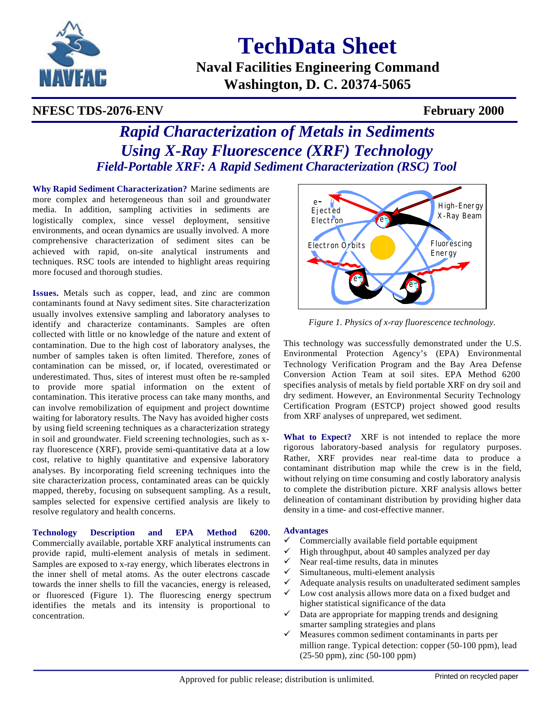

**TechData Sheet**

**Naval Facilities Engineering Command Washington, D. C. 20374-5065**

## **NFESC TDS-2076-ENV February 2000**

# *Rapid Characterization of Metals in Sediments Using X-Ray Fluorescence (XRF) Technology Field-Portable XRF: A Rapid Sediment Characterization (RSC) Tool*

**Why Rapid Sediment Characterization?** Marine sediments are more complex and heterogeneous than soil and groundwater media. In addition, sampling activities in sediments are logistically complex, since vessel deployment, sensitive environments, and ocean dynamics are usually involved. A more comprehensive characterization of sediment sites can be achieved with rapid, on-site analytical instruments and techniques. RSC tools are intended to highlight areas requiring more focused and thorough studies.

**Issues.** Metals such as copper, lead, and zinc are common contaminants found at Navy sediment sites. Site characterization usually involves extensive sampling and laboratory analyses to identify and characterize contaminants. Samples are often collected with little or no knowledge of the nature and extent of contamination. Due to the high cost of laboratory analyses, the number of samples taken is often limited. Therefore, zones of contamination can be missed, or, if located, overestimated or underestimated. Thus, sites of interest must often be re-sampled to provide more spatial information on the extent of contamination. This iterative process can take many months, and can involve remobilization of equipment and project downtime waiting for laboratory results. The Navy has avoided higher costs by using field screening techniques as a characterization strategy in soil and groundwater. Field screening technologies, such as xray fluorescence (XRF), provide semi-quantitative data at a low cost, relative to highly quantitative and expensive laboratory analyses. By incorporating field screening techniques into the site characterization process, contaminated areas can be quickly mapped, thereby, focusing on subsequent sampling. As a result, samples selected for expensive certified analysis are likely to resolve regulatory and health concerns.

**Technology Description and EPA Method 6200.** Commercially available, portable XRF analytical instruments can provide rapid, multi-element analysis of metals in sediment. Samples are exposed to x-ray energy, which liberates electrons in the inner shell of metal atoms. As the outer electrons cascade towards the inner shells to fill the vacancies, energy is released, or fluoresced (Figure 1). The fluorescing energy spectrum identifies the metals and its intensity is proportional to concentration.



*Figure 1. Physics of x-ray fluorescence technology.*

This technology was successfully demonstrated under the U.S. Environmental Protection Agency's (EPA) Environmental Technology Verification Program and the Bay Area Defense Conversion Action Team at soil sites. EPA Method 6200 specifies analysis of metals by field portable XRF on dry soil and dry sediment. However, an Environmental Security Technology Certification Program (ESTCP) project showed good results from XRF analyses of unprepared, wet sediment.

**What to Expect?** XRF is not intended to replace the more rigorous laboratory-based analysis for regulatory purposes. Rather, XRF provides near real-time data to produce a contaminant distribution map while the crew is in the field, without relying on time consuming and costly laboratory analysis to complete the distribution picture. XRF analysis allows better delineation of contaminant distribution by providing higher data density in a time- and cost-effective manner.

#### **Advantages**

- $\checkmark$  Commercially available field portable equipment
- High throughput, about 40 samples analyzed per day
- Near real-time results, data in minutes
- Simultaneous, multi-element analysis
- Adequate analysis results on unadulterated sediment samples
- Low cost analysis allows more data on a fixed budget and higher statistical significance of the data
- $\checkmark$  Data are appropriate for mapping trends and designing smarter sampling strategies and plans
- Measures common sediment contaminants in parts per million range. Typical detection: copper (50-100 ppm), lead (25-50 ppm), zinc (50-100 ppm)